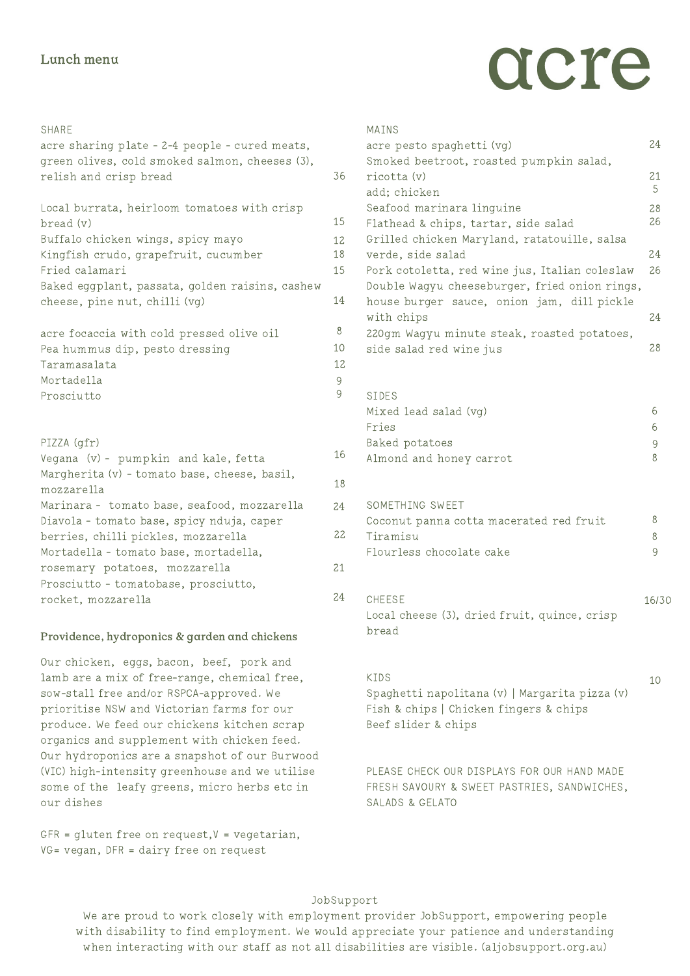#### Lunch menu

# acre

| <b>SHARE</b>                                                                     |                     |
|----------------------------------------------------------------------------------|---------------------|
| acre sharing plate - 2-4 people - cured meats,                                   |                     |
| green olives, cold smoked salmon, cheeses (3),<br>relish and crisp bread         | 36                  |
|                                                                                  |                     |
| Local burrata, heirloom tomatoes with crisp                                      |                     |
| bread (v)                                                                        | 15                  |
| Buffalo chicken wings, spicy mayo                                                | 12                  |
| Kingfish crudo, grapefruit, cucumber                                             | 18                  |
| Fried calamari<br>Baked eggplant, passata, golden raisins, cashew                | 15                  |
| cheese, pine nut, chilli (vg)                                                    | 14                  |
|                                                                                  |                     |
| acre focaccia with cold pressed olive oil                                        | 8                   |
| Pea hummus dip, pesto dressing                                                   | 10                  |
| Taramasalata                                                                     | 12                  |
| Mortade11a                                                                       | $\overline{9}$<br>9 |
| Prosciutto                                                                       |                     |
|                                                                                  |                     |
| PIZZA (gfr)                                                                      |                     |
| Vegana (v) - pumpkin and kale, fetta                                             | 16                  |
| Margherita (v) - tomato base, cheese, basil,                                     | 18                  |
| mozzarella                                                                       |                     |
| Marinara - tomato base, seafood, mozzarella                                      | 24                  |
| Diavola - tomato base, spicy nduja, caper<br>berries, chilli pickles, mozzarella | 22                  |
| Mortadella - tomato base, mortadella,                                            |                     |
| rosemary potatoes, mozzarella                                                    | 21                  |
| Prosciutto - tomatobase, prosciutto,                                             |                     |
| rocket, mozzarella                                                               | 24                  |
|                                                                                  |                     |

### Providence, hydroponics & garden and chickens Providence, hydroponics & garden and chickens

Our chicken, eggs, bacon, beef, pork and lamb are a mix of free-range, chemical free, sow-stall free and/or RSPCA-approved. We prioritise NSW and Victorian farms for our produce. We feed our chickens kitchen scrap organics and supplement with chicken feed. Our hydroponics are a snapshot of our Burwood (VIC) high-intensity greenhouse and we utilise some of the leafy greens, micro herbs etc in our dishes

 $GFR =$  gluten free on request,  $V =$  vegetarian, VG= vegan, DFR = dairy free on request

| MAINS                                                                                           |       |
|-------------------------------------------------------------------------------------------------|-------|
| acre pesto spaghetti (vg)                                                                       | 24    |
| Smoked beetroot, roasted pumpkin salad,<br>ricotta (v)                                          | 21    |
| add; chicken                                                                                    | 5     |
| Seafood marinara linguine                                                                       | 28    |
| Flathead & chips, tartar, side salad                                                            | 26    |
| Grilled chicken Maryland, ratatouille, salsa                                                    |       |
| verde, side salad                                                                               | 24    |
| Pork cotoletta, red wine jus, Italian coleslaw<br>Double Wagyu cheeseburger, fried onion rings, | 26    |
| house burger sauce, onion jam, dill pickle<br>with chips                                        | 24    |
| 220qm Waqyu minute steak, roasted potatoes,                                                     |       |
| side salad red wine jus                                                                         | 28    |
| <b>SIDES</b>                                                                                    |       |
| Mixed lead salad (vg)                                                                           | 6     |
| Fries                                                                                           | 6     |
| Baked potatoes                                                                                  | 9     |
| Almond and honey carrot                                                                         | 8     |
| SOMETHING SWEET                                                                                 |       |
| Coconut panna cotta macerated red fruit                                                         | 8     |
| Tiramisu                                                                                        | 8     |
| Flourless chocolate cake                                                                        | 9     |
| <b>CHEESE</b>                                                                                   | 16/30 |
| Local cheese (3), dried fruit, quince, crisp<br>bread                                           |       |
|                                                                                                 |       |

#### KIDS Spaghetti napolitana (v) | Margarita pizza (v) Fish & chips | Chicken fingers & chips Beef slider & chips

10

PLEASE CHECK OUR DISPLAYS FOR OUR HAND MADE FRESH SAVOURY & SWEET PASTRIES, SANDWICHES, SALADS & GELATO

#### JobSupport

We are proud to work closely with employment provider JobSupport, empowering people with disability to find employment. We would appreciate your patience and understanding when interacting with our staff as not all disabilities are visible. (aljobsupport.org.au)